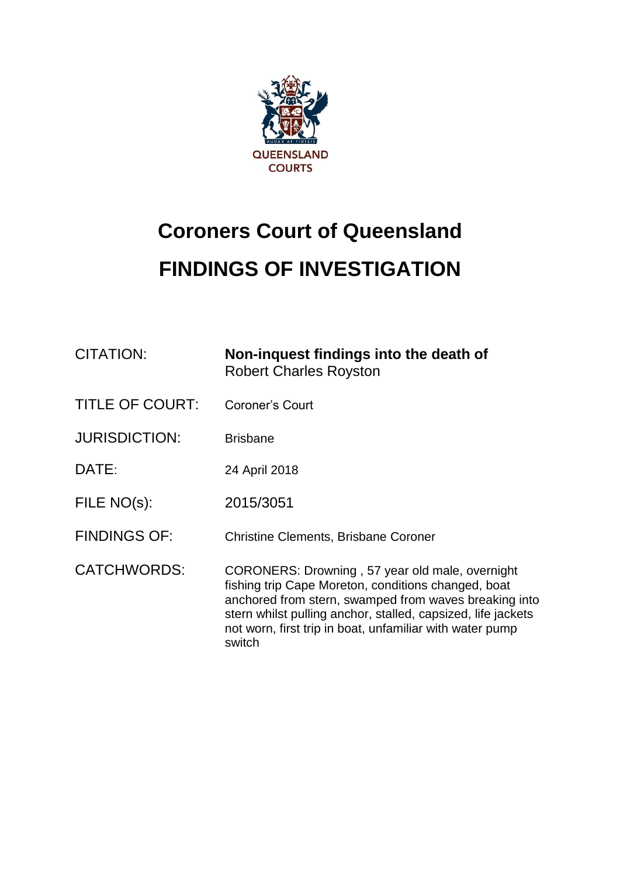

# **Coroners Court of Queensland FINDINGS OF INVESTIGATION**

| <b>CITATION:</b>       | Non-inquest findings into the death of<br><b>Robert Charles Royston</b>                                                                                                                                                                                                                               |
|------------------------|-------------------------------------------------------------------------------------------------------------------------------------------------------------------------------------------------------------------------------------------------------------------------------------------------------|
| <b>TITLE OF COURT:</b> | Coroner's Court                                                                                                                                                                                                                                                                                       |
| <b>JURISDICTION:</b>   | <b>Brisbane</b>                                                                                                                                                                                                                                                                                       |
| DATE:                  | 24 April 2018                                                                                                                                                                                                                                                                                         |
| FILE NO(s):            | 2015/3051                                                                                                                                                                                                                                                                                             |
| <b>FINDINGS OF:</b>    | <b>Christine Clements, Brisbane Coroner</b>                                                                                                                                                                                                                                                           |
| <b>CATCHWORDS:</b>     | CORONERS: Drowning, 57 year old male, overnight<br>fishing trip Cape Moreton, conditions changed, boat<br>anchored from stern, swamped from waves breaking into<br>stern whilst pulling anchor, stalled, capsized, life jackets<br>not worn, first trip in boat, unfamiliar with water pump<br>switch |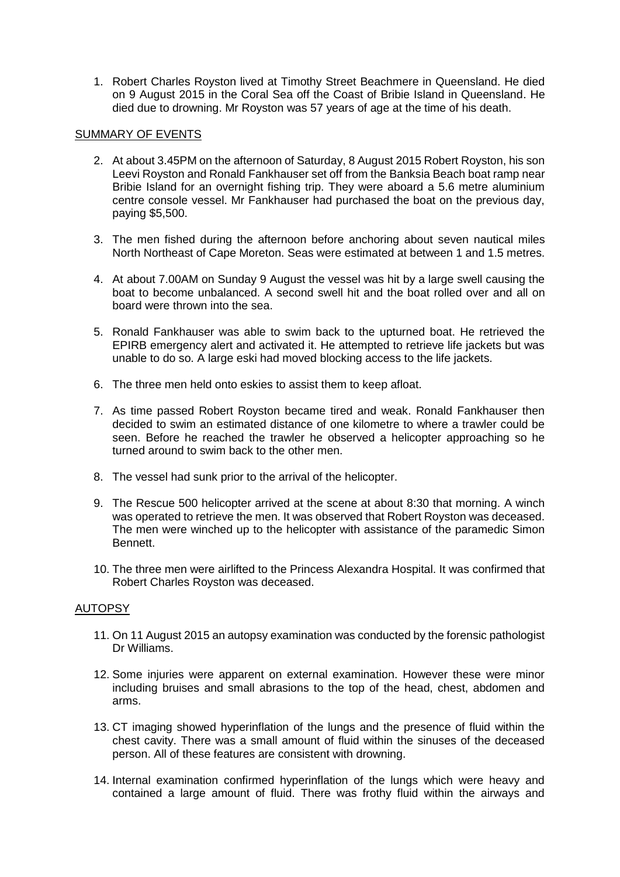1. Robert Charles Royston lived at Timothy Street Beachmere in Queensland. He died on 9 August 2015 in the Coral Sea off the Coast of Bribie Island in Queensland. He died due to drowning. Mr Royston was 57 years of age at the time of his death.

## SUMMARY OF EVENTS

- 2. At about 3.45PM on the afternoon of Saturday, 8 August 2015 Robert Royston, his son Leevi Royston and Ronald Fankhauser set off from the Banksia Beach boat ramp near Bribie Island for an overnight fishing trip. They were aboard a 5.6 metre aluminium centre console vessel. Mr Fankhauser had purchased the boat on the previous day, paying \$5,500.
- 3. The men fished during the afternoon before anchoring about seven nautical miles North Northeast of Cape Moreton. Seas were estimated at between 1 and 1.5 metres.
- 4. At about 7.00AM on Sunday 9 August the vessel was hit by a large swell causing the boat to become unbalanced. A second swell hit and the boat rolled over and all on board were thrown into the sea.
- 5. Ronald Fankhauser was able to swim back to the upturned boat. He retrieved the EPIRB emergency alert and activated it. He attempted to retrieve life jackets but was unable to do so. A large eski had moved blocking access to the life jackets.
- 6. The three men held onto eskies to assist them to keep afloat.
- 7. As time passed Robert Royston became tired and weak. Ronald Fankhauser then decided to swim an estimated distance of one kilometre to where a trawler could be seen. Before he reached the trawler he observed a helicopter approaching so he turned around to swim back to the other men.
- 8. The vessel had sunk prior to the arrival of the helicopter.
- 9. The Rescue 500 helicopter arrived at the scene at about 8:30 that morning. A winch was operated to retrieve the men. It was observed that Robert Royston was deceased. The men were winched up to the helicopter with assistance of the paramedic Simon Bennett.
- 10. The three men were airlifted to the Princess Alexandra Hospital. It was confirmed that Robert Charles Royston was deceased.

# AUTOPSY

- 11. On 11 August 2015 an autopsy examination was conducted by the forensic pathologist Dr Williams.
- 12. Some injuries were apparent on external examination. However these were minor including bruises and small abrasions to the top of the head, chest, abdomen and arms.
- 13. CT imaging showed hyperinflation of the lungs and the presence of fluid within the chest cavity. There was a small amount of fluid within the sinuses of the deceased person. All of these features are consistent with drowning.
- 14. Internal examination confirmed hyperinflation of the lungs which were heavy and contained a large amount of fluid. There was frothy fluid within the airways and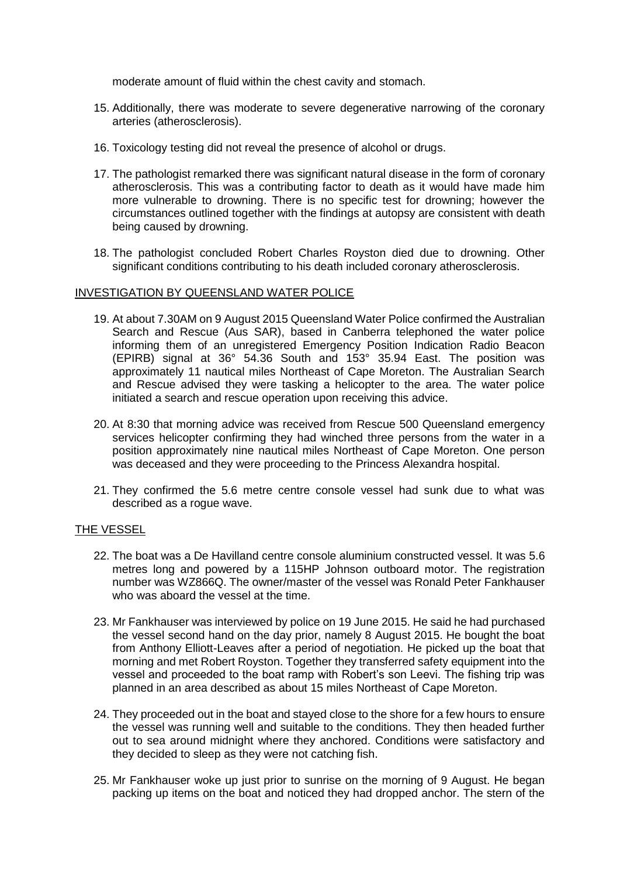moderate amount of fluid within the chest cavity and stomach.

- 15. Additionally, there was moderate to severe degenerative narrowing of the coronary arteries (atherosclerosis).
- 16. Toxicology testing did not reveal the presence of alcohol or drugs.
- 17. The pathologist remarked there was significant natural disease in the form of coronary atherosclerosis. This was a contributing factor to death as it would have made him more vulnerable to drowning. There is no specific test for drowning; however the circumstances outlined together with the findings at autopsy are consistent with death being caused by drowning.
- 18. The pathologist concluded Robert Charles Royston died due to drowning. Other significant conditions contributing to his death included coronary atherosclerosis.

## INVESTIGATION BY QUEENSLAND WATER POLICE

- 19. At about 7.30AM on 9 August 2015 Queensland Water Police confirmed the Australian Search and Rescue (Aus SAR), based in Canberra telephoned the water police informing them of an unregistered Emergency Position Indication Radio Beacon (EPIRB) signal at 36° 54.36 South and 153° 35.94 East. The position was approximately 11 nautical miles Northeast of Cape Moreton. The Australian Search and Rescue advised they were tasking a helicopter to the area. The water police initiated a search and rescue operation upon receiving this advice.
- 20. At 8:30 that morning advice was received from Rescue 500 Queensland emergency services helicopter confirming they had winched three persons from the water in a position approximately nine nautical miles Northeast of Cape Moreton. One person was deceased and they were proceeding to the Princess Alexandra hospital.
- 21. They confirmed the 5.6 metre centre console vessel had sunk due to what was described as a rogue wave.

### THE VESSEL

- 22. The boat was a De Havilland centre console aluminium constructed vessel. It was 5.6 metres long and powered by a 115HP Johnson outboard motor. The registration number was WZ866Q. The owner/master of the vessel was Ronald Peter Fankhauser who was aboard the vessel at the time.
- 23. Mr Fankhauser was interviewed by police on 19 June 2015. He said he had purchased the vessel second hand on the day prior, namely 8 August 2015. He bought the boat from Anthony Elliott-Leaves after a period of negotiation. He picked up the boat that morning and met Robert Royston. Together they transferred safety equipment into the vessel and proceeded to the boat ramp with Robert's son Leevi. The fishing trip was planned in an area described as about 15 miles Northeast of Cape Moreton.
- 24. They proceeded out in the boat and stayed close to the shore for a few hours to ensure the vessel was running well and suitable to the conditions. They then headed further out to sea around midnight where they anchored. Conditions were satisfactory and they decided to sleep as they were not catching fish.
- 25. Mr Fankhauser woke up just prior to sunrise on the morning of 9 August. He began packing up items on the boat and noticed they had dropped anchor. The stern of the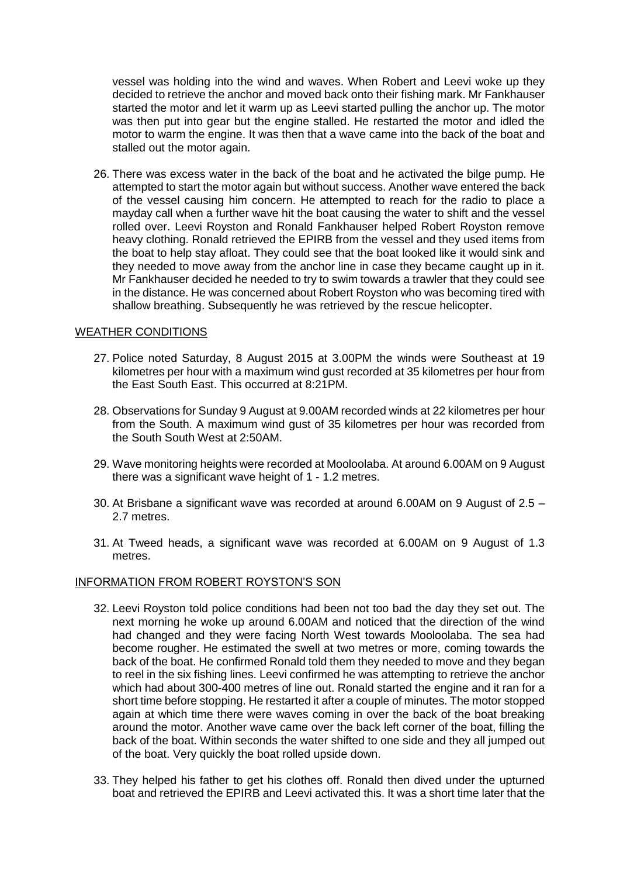vessel was holding into the wind and waves. When Robert and Leevi woke up they decided to retrieve the anchor and moved back onto their fishing mark. Mr Fankhauser started the motor and let it warm up as Leevi started pulling the anchor up. The motor was then put into gear but the engine stalled. He restarted the motor and idled the motor to warm the engine. It was then that a wave came into the back of the boat and stalled out the motor again.

26. There was excess water in the back of the boat and he activated the bilge pump. He attempted to start the motor again but without success. Another wave entered the back of the vessel causing him concern. He attempted to reach for the radio to place a mayday call when a further wave hit the boat causing the water to shift and the vessel rolled over. Leevi Royston and Ronald Fankhauser helped Robert Royston remove heavy clothing. Ronald retrieved the EPIRB from the vessel and they used items from the boat to help stay afloat. They could see that the boat looked like it would sink and they needed to move away from the anchor line in case they became caught up in it. Mr Fankhauser decided he needed to try to swim towards a trawler that they could see in the distance. He was concerned about Robert Royston who was becoming tired with shallow breathing. Subsequently he was retrieved by the rescue helicopter.

### WEATHER CONDITIONS

- 27. Police noted Saturday, 8 August 2015 at 3.00PM the winds were Southeast at 19 kilometres per hour with a maximum wind gust recorded at 35 kilometres per hour from the East South East. This occurred at 8:21PM.
- 28. Observations for Sunday 9 August at 9.00AM recorded winds at 22 kilometres per hour from the South. A maximum wind gust of 35 kilometres per hour was recorded from the South South West at 2:50AM.
- 29. Wave monitoring heights were recorded at Mooloolaba. At around 6.00AM on 9 August there was a significant wave height of 1 - 1.2 metres.
- 30. At Brisbane a significant wave was recorded at around 6.00AM on 9 August of 2.5 2.7 metres.
- 31. At Tweed heads, a significant wave was recorded at 6.00AM on 9 August of 1.3 metres.

### INFORMATION FROM ROBERT ROYSTON'S SON

- 32. Leevi Royston told police conditions had been not too bad the day they set out. The next morning he woke up around 6.00AM and noticed that the direction of the wind had changed and they were facing North West towards Mooloolaba. The sea had become rougher. He estimated the swell at two metres or more, coming towards the back of the boat. He confirmed Ronald told them they needed to move and they began to reel in the six fishing lines. Leevi confirmed he was attempting to retrieve the anchor which had about 300-400 metres of line out. Ronald started the engine and it ran for a short time before stopping. He restarted it after a couple of minutes. The motor stopped again at which time there were waves coming in over the back of the boat breaking around the motor. Another wave came over the back left corner of the boat, filling the back of the boat. Within seconds the water shifted to one side and they all jumped out of the boat. Very quickly the boat rolled upside down.
- 33. They helped his father to get his clothes off. Ronald then dived under the upturned boat and retrieved the EPIRB and Leevi activated this. It was a short time later that the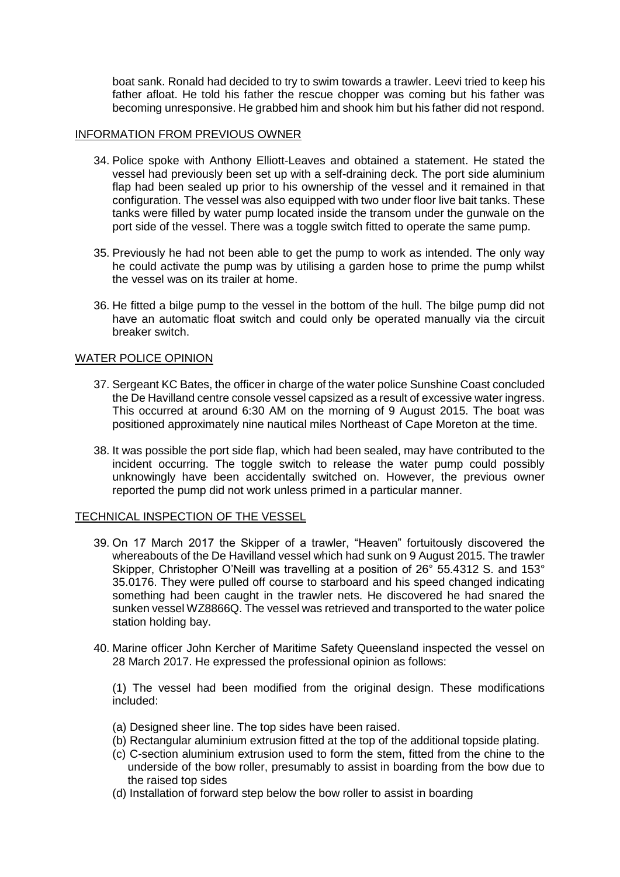boat sank. Ronald had decided to try to swim towards a trawler. Leevi tried to keep his father afloat. He told his father the rescue chopper was coming but his father was becoming unresponsive. He grabbed him and shook him but his father did not respond.

#### INFORMATION FROM PREVIOUS OWNER

- 34. Police spoke with Anthony Elliott-Leaves and obtained a statement. He stated the vessel had previously been set up with a self-draining deck. The port side aluminium flap had been sealed up prior to his ownership of the vessel and it remained in that configuration. The vessel was also equipped with two under floor live bait tanks. These tanks were filled by water pump located inside the transom under the gunwale on the port side of the vessel. There was a toggle switch fitted to operate the same pump.
- 35. Previously he had not been able to get the pump to work as intended. The only way he could activate the pump was by utilising a garden hose to prime the pump whilst the vessel was on its trailer at home.
- 36. He fitted a bilge pump to the vessel in the bottom of the hull. The bilge pump did not have an automatic float switch and could only be operated manually via the circuit breaker switch.

#### WATER POLICE OPINION

- 37. Sergeant KC Bates, the officer in charge of the water police Sunshine Coast concluded the De Havilland centre console vessel capsized as a result of excessive water ingress. This occurred at around 6:30 AM on the morning of 9 August 2015. The boat was positioned approximately nine nautical miles Northeast of Cape Moreton at the time.
- 38. It was possible the port side flap, which had been sealed, may have contributed to the incident occurring. The toggle switch to release the water pump could possibly unknowingly have been accidentally switched on. However, the previous owner reported the pump did not work unless primed in a particular manner.

### TECHNICAL INSPECTION OF THE VESSEL

- 39. On 17 March 2017 the Skipper of a trawler, "Heaven" fortuitously discovered the whereabouts of the De Havilland vessel which had sunk on 9 August 2015. The trawler Skipper, Christopher O'Neill was travelling at a position of 26° 55.4312 S. and 153° 35.0176. They were pulled off course to starboard and his speed changed indicating something had been caught in the trawler nets. He discovered he had snared the sunken vessel WZ8866Q. The vessel was retrieved and transported to the water police station holding bay.
- 40. Marine officer John Kercher of Maritime Safety Queensland inspected the vessel on 28 March 2017. He expressed the professional opinion as follows:

(1) The vessel had been modified from the original design. These modifications included:

- (a) Designed sheer line. The top sides have been raised.
- (b) Rectangular aluminium extrusion fitted at the top of the additional topside plating.
- (c) C-section aluminium extrusion used to form the stem, fitted from the chine to the underside of the bow roller, presumably to assist in boarding from the bow due to the raised top sides
- (d) Installation of forward step below the bow roller to assist in boarding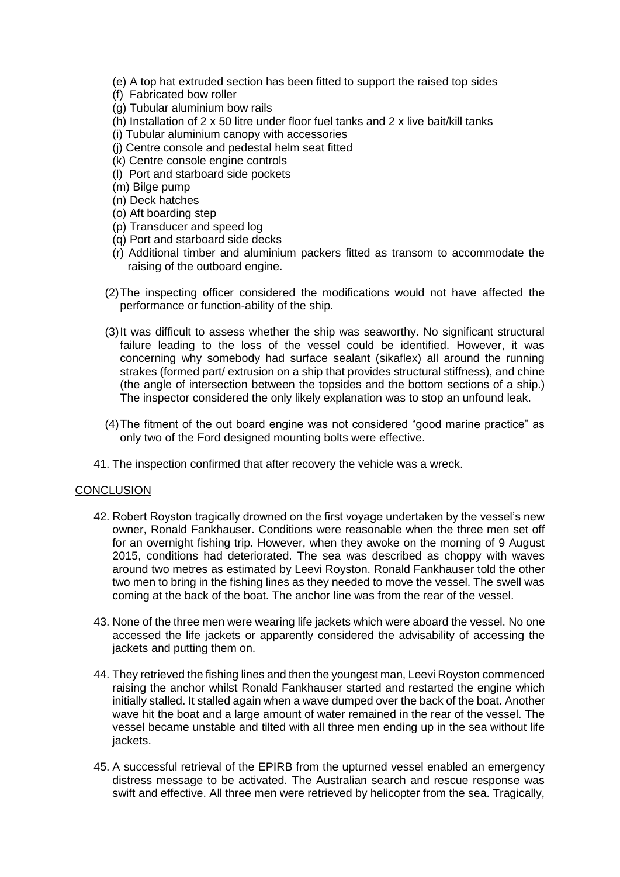- (e) A top hat extruded section has been fitted to support the raised top sides
- (f) Fabricated bow roller
- (g) Tubular aluminium bow rails
- (h) Installation of 2 x 50 litre under floor fuel tanks and 2 x live bait/kill tanks
- (i) Tubular aluminium canopy with accessories
- (j) Centre console and pedestal helm seat fitted
- (k) Centre console engine controls
- (l) Port and starboard side pockets
- (m) Bilge pump
- (n) Deck hatches
- (o) Aft boarding step
- (p) Transducer and speed log
- (q) Port and starboard side decks
- (r) Additional timber and aluminium packers fitted as transom to accommodate the raising of the outboard engine.
- (2)The inspecting officer considered the modifications would not have affected the performance or function-ability of the ship.
- (3)It was difficult to assess whether the ship was seaworthy. No significant structural failure leading to the loss of the vessel could be identified. However, it was concerning why somebody had surface sealant (sikaflex) all around the running strakes (formed part/ extrusion on a ship that provides structural stiffness), and chine (the angle of intersection between the topsides and the bottom sections of a ship.) The inspector considered the only likely explanation was to stop an unfound leak.
- (4)The fitment of the out board engine was not considered "good marine practice" as only two of the Ford designed mounting bolts were effective.
- 41. The inspection confirmed that after recovery the vehicle was a wreck.

# **CONCLUSION**

- 42. Robert Royston tragically drowned on the first voyage undertaken by the vessel's new owner, Ronald Fankhauser. Conditions were reasonable when the three men set off for an overnight fishing trip. However, when they awoke on the morning of 9 August 2015, conditions had deteriorated. The sea was described as choppy with waves around two metres as estimated by Leevi Royston. Ronald Fankhauser told the other two men to bring in the fishing lines as they needed to move the vessel. The swell was coming at the back of the boat. The anchor line was from the rear of the vessel.
- 43. None of the three men were wearing life jackets which were aboard the vessel. No one accessed the life jackets or apparently considered the advisability of accessing the jackets and putting them on.
- 44. They retrieved the fishing lines and then the youngest man, Leevi Royston commenced raising the anchor whilst Ronald Fankhauser started and restarted the engine which initially stalled. It stalled again when a wave dumped over the back of the boat. Another wave hit the boat and a large amount of water remained in the rear of the vessel. The vessel became unstable and tilted with all three men ending up in the sea without life jackets.
- 45. A successful retrieval of the EPIRB from the upturned vessel enabled an emergency distress message to be activated. The Australian search and rescue response was swift and effective. All three men were retrieved by helicopter from the sea. Tragically,